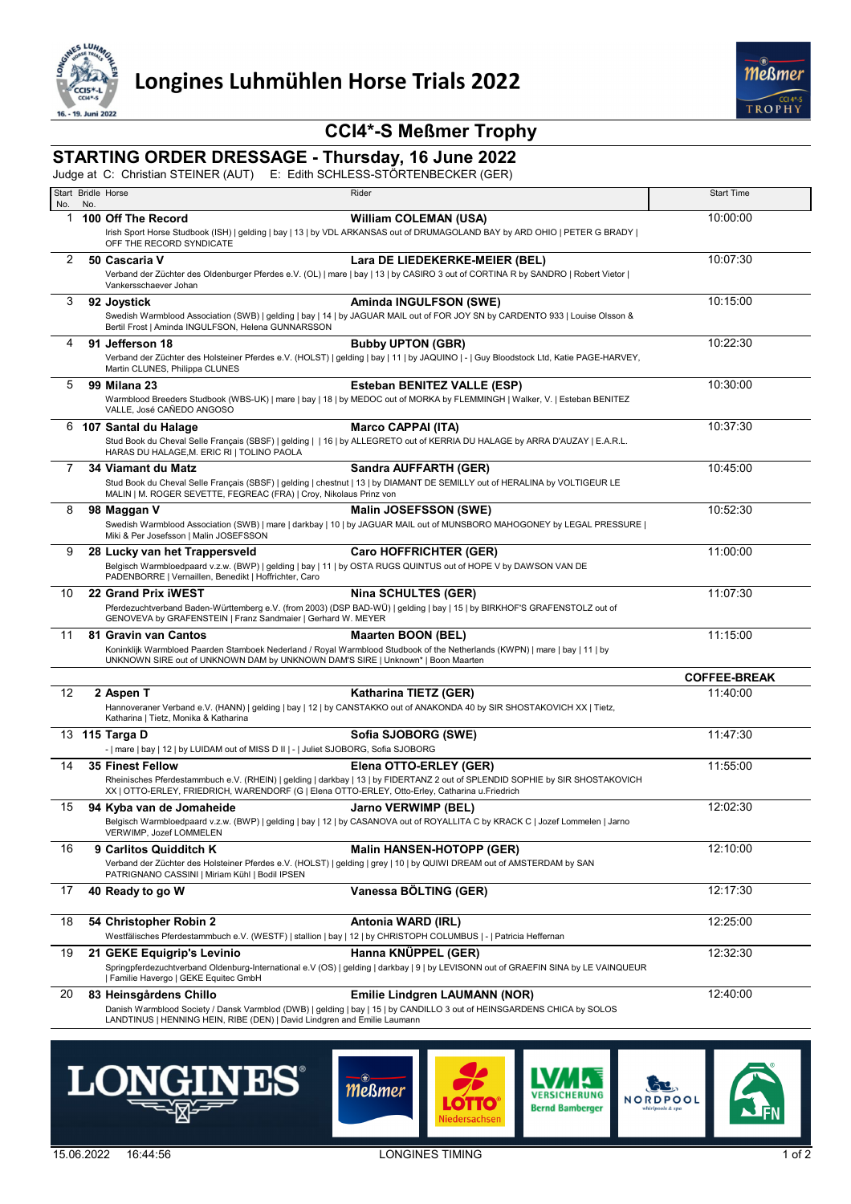

# **CCI4\*-S Meßmer Trophy**

# **STARTING ORDER DRESSAGE - Thursday, 16 June 2022**

Judge at C: Christian STEINER (AUT) E: Edith SCHLESS-STÖRTENBECKER (GER)

| No. | Start Bridle Horse<br>No. |                                                                                                                                                                          | Rider                                                                                                                                                           | <b>Start Time</b>   |
|-----|---------------------------|--------------------------------------------------------------------------------------------------------------------------------------------------------------------------|-----------------------------------------------------------------------------------------------------------------------------------------------------------------|---------------------|
| 1   |                           | 100 Off The Record                                                                                                                                                       | <b>William COLEMAN (USA)</b>                                                                                                                                    | 10:00:00            |
|     |                           | OFF THE RECORD SYNDICATE                                                                                                                                                 | Irish Sport Horse Studbook (ISH)   gelding   bay   13   by VDL ARKANSAS out of DRUMAGOLAND BAY by ARD OHIO   PETER G BRADY                                      |                     |
| 2   |                           | 50 Cascaria V                                                                                                                                                            | Lara DE LIEDEKERKE-MEIER (BEL)                                                                                                                                  | 10:07:30            |
|     |                           | Vankersschaever Johan                                                                                                                                                    | Verband der Züchter des Oldenburger Pferdes e.V. (OL)   mare   bay   13   by CASIRO 3 out of CORTINA R by SANDRO   Robert Vietor                                |                     |
| 3   |                           | 92 Joystick                                                                                                                                                              | Aminda INGULFSON (SWE)                                                                                                                                          | 10:15:00            |
|     |                           | Bertil Frost   Aminda INGULFSON, Helena GUNNARSSON                                                                                                                       | Swedish Warmblood Association (SWB)   gelding   bay   14   by JAGUAR MAIL out of FOR JOY SN by CARDENTO 933   Louise Olsson &                                   |                     |
| 4   |                           | 91 Jefferson 18                                                                                                                                                          | <b>Bubby UPTON (GBR)</b>                                                                                                                                        | 10:22:30            |
|     |                           | Martin CLUNES, Philippa CLUNES                                                                                                                                           | Verband der Züchter des Holsteiner Pferdes e.V. (HOLST)   gelding   bay   11   by JAQUINO   -   Guy Bloodstock Ltd, Katie PAGE-HARVEY,                          |                     |
| 5   |                           | <b>99 Milana 23</b>                                                                                                                                                      | <b>Esteban BENITEZ VALLE (ESP)</b>                                                                                                                              | 10:30:00            |
|     |                           | VALLE, José CAÑEDO ANGOSO                                                                                                                                                | Warmblood Breeders Studbook (WBS-UK)   mare   bay   18   by MEDOC out of MORKA by FLEMMINGH   Walker, V.   Esteban BENITEZ                                      |                     |
|     |                           | 6 107 Santal du Halage                                                                                                                                                   | <b>Marco CAPPAI (ITA)</b>                                                                                                                                       | 10:37:30            |
|     |                           | HARAS DU HALAGE, M. ERIC RI   TOLINO PAOLA                                                                                                                               | Stud Book du Cheval Selle Français (SBSF)   gelding     16   by ALLEGRETO out of KERRIA DU HALAGE by ARRA D'AUZAY   E.A.R.L.                                    |                     |
| 7   |                           | 34 Viamant du Matz                                                                                                                                                       | Sandra AUFFARTH (GER)                                                                                                                                           | 10:45:00            |
|     |                           | MALIN   M. ROGER SEVETTE, FEGREAC (FRA)   Croy, Nikolaus Prinz von                                                                                                       | Stud Book du Cheval Selle Français (SBSF)   gelding   chestnut   13   by DIAMANT DE SEMILLY out of HERALINA by VOLTIGEUR LE                                     |                     |
| 8   |                           | 98 Maggan V                                                                                                                                                              | Malin JOSEFSSON (SWE)                                                                                                                                           | 10:52:30            |
|     |                           | Miki & Per Josefsson   Malin JOSEFSSON                                                                                                                                   | Swedish Warmblood Association (SWB)   mare   darkbay   10   by JAGUAR MAIL out of MUNSBORO MAHOGONEY by LEGAL PRESSURE                                          |                     |
| 9   |                           | 28 Lucky van het Trappersveld                                                                                                                                            | <b>Caro HOFFRICHTER (GER)</b>                                                                                                                                   | 11:00:00            |
|     |                           | Belgisch Warmbloedpaard v.z.w. (BWP)   gelding   bay   11   by OSTA RUGS QUINTUS out of HOPE V by DAWSON VAN DE<br>PADENBORRE   Vernaillen, Benedikt   Hoffrichter, Caro |                                                                                                                                                                 |                     |
| 10  |                           | 22 Grand Prix IWEST                                                                                                                                                      | <b>Nina SCHULTES (GER)</b>                                                                                                                                      | 11:07:30            |
|     |                           | GENOVEVA by GRAFENSTEIN   Franz Sandmaier   Gerhard W. MEYER                                                                                                             | Pferdezuchtverband Baden-Württemberg e.V. (from 2003) (DSP BAD-WÜ)   gelding   bay   15   by BIRKHOF'S GRAFENSTOLZ out of                                       |                     |
| 11  |                           | 81 Gravin van Cantos                                                                                                                                                     | <b>Maarten BOON (BEL)</b>                                                                                                                                       | 11:15:00            |
|     |                           | UNKNOWN SIRE out of UNKNOWN DAM by UNKNOWN DAM'S SIRE   Unknown*   Boon Maarten                                                                                          | Koninklijk Warmbloed Paarden Stamboek Nederland / Royal Warmblood Studbook of the Netherlands (KWPN)   mare   bay   11   by                                     |                     |
|     |                           |                                                                                                                                                                          |                                                                                                                                                                 | <b>COFFEE-BREAK</b> |
| 12  |                           | 2 Aspen T                                                                                                                                                                | Katharina TIETZ (GER)                                                                                                                                           | 11:40:00            |
|     |                           | Katharina   Tietz, Monika & Katharina                                                                                                                                    | Hannoveraner Verband e.V. (HANN)   gelding   bay   12   by CANSTAKKO out of ANAKONDA 40 by SIR SHOSTAKOVICH XX   Tietz,                                         |                     |
|     |                           | 13 115 Targa D<br>-   mare   bay   12   by LUIDAM out of MISS D II   -   Juliet SJOBORG, Sofia SJOBORG                                                                   | Sofia SJOBORG (SWE)                                                                                                                                             | 11:47:30            |
| 14  |                           | <b>35 Finest Fellow</b>                                                                                                                                                  | Elena OTTO-ERLEY (GER)                                                                                                                                          | 11:55:00            |
|     |                           | XX   OTTO-ERLEY, FRIEDRICH, WARENDORF (G   Elena OTTO-ERLEY, Otto-Erley, Catharina u.Friedrich                                                                           | Rheinisches Pferdestammbuch e.V. (RHEIN)   gelding   darkbay   13   by FIDERTANZ 2 out of SPLENDID SOPHIE by SIR SHOSTAKOVICH                                   |                     |
| 15  |                           | 94 Kyba van de Jomaheide                                                                                                                                                 | <b>Jarno VERWIMP (BEL)</b>                                                                                                                                      | 12:02:30            |
|     |                           | VERWIMP, Jozef LOMMELEN                                                                                                                                                  | Belgisch Warmbloedpaard v.z.w. (BWP)   gelding   bay   12   by CASANOVA out of ROYALLITA C by KRACK C   Jozef Lommelen   Jarno                                  |                     |
| 16  |                           | 9 Carlitos Quidditch K                                                                                                                                                   | <b>Malin HANSEN-HOTOPP (GER)</b>                                                                                                                                | 12:10:00            |
|     |                           | PATRIGNANO CASSINI   Miriam Kühl   Bodil IPSEN                                                                                                                           | Verband der Züchter des Holsteiner Pferdes e.V. (HOLST)   gelding   grey   10   by QUIWI DREAM out of AMSTERDAM by SAN                                          |                     |
| 17  |                           | 40 Ready to go W                                                                                                                                                         | Vanessa BÖLTING (GER)                                                                                                                                           | 12:17:30            |
| 18  |                           | 54 Christopher Robin 2                                                                                                                                                   | Antonia WARD (IRL)                                                                                                                                              | 12:25:00            |
|     |                           | Westfälisches Pferdestammbuch e.V. (WESTF)   stallion   bay   12   by CHRISTOPH COLUMBUS   -   Patricia Heffernan                                                        |                                                                                                                                                                 |                     |
| 19  |                           | 21 GEKE Equigrip's Levinio                                                                                                                                               | Hanna KNÜPPEL (GER)                                                                                                                                             | 12:32:30            |
|     |                           | Familie Havergo   GEKE Equitec GmbH                                                                                                                                      | Springpferdezuchtverband Oldenburg-International e.V (OS)   gelding   darkbay   9   by LEVISONN out of GRAEFIN SINA by LE VAINQUEUR                             |                     |
| 20  |                           | 83 Heinsgårdens Chillo                                                                                                                                                   | <b>Emilie Lindgren LAUMANN (NOR)</b><br>Danish Warmblood Society / Dansk Varmblod (DWB)   gelding   bay   15   by CANDILLO 3 out of HEINSGARDENS CHICA by SOLOS | 12:40:00            |

LANDTINUS | HENNING HEIN, RIBE (DEN) | David Lindgren and Emilie Laumann